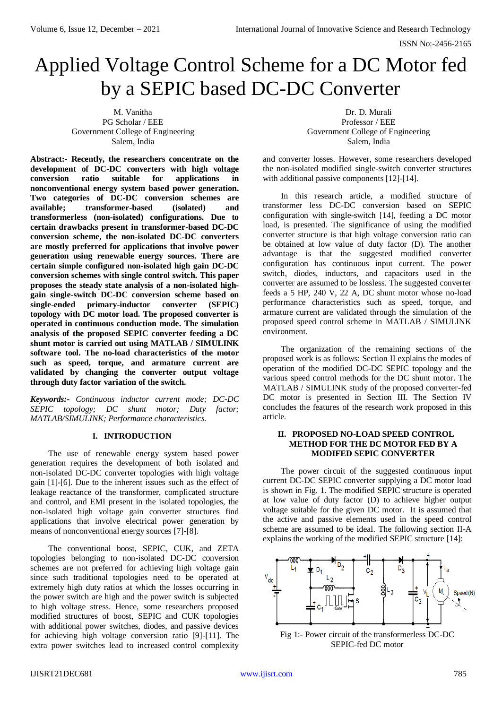# Applied Voltage Control Scheme for a DC Motor fed by a SEPIC based DC-DC Converter

M. Vanitha PG Scholar / EEE Government College of Engineering Salem, India

**Abstract:- Recently, the researchers concentrate on the development of DC-DC converters with high voltage conversion ratio suitable for applications in nonconventional energy system based power generation. Two categories of DC-DC conversion schemes are available; transformer-based (isolated) and transformerless (non-isolated) configurations. Due to certain drawbacks present in transformer-based DC-DC conversion scheme, the non-isolated DC-DC converters are mostly preferred for applications that involve power generation using renewable energy sources. There are certain simple configured non-isolated high gain DC-DC conversion schemes with single control switch. This paper proposes the steady state analysis of a non-isolated highgain single-switch DC-DC conversion scheme based on single-ended primary-inductor converter (SEPIC) topology with DC motor load. The proposed converter is operated in continuous conduction mode. The simulation analysis of the proposed SEPIC converter feeding a DC shunt motor is carried out using MATLAB / SIMULINK software tool. The no-load characteristics of the motor such as speed, torque, and armature current are validated by changing the converter output voltage through duty factor variation of the switch.** 

*Keywords:- Continuous inductor current mode; DC-DC SEPIC topology; DC shunt motor; Duty factor; MATLAB/SIMULINK; Performance characteristics.*

## **I. INTRODUCTION**

The use of renewable energy system based power generation requires the development of both isolated and non-isolated DC-DC converter topologies with high voltage gain [1]-[6]. Due to the inherent issues such as the effect of leakage reactance of the transformer, complicated structure and control, and EMI present in the isolated topologies, the non-isolated high voltage gain converter structures find applications that involve electrical power generation by means of nonconventional energy sources [7]-[8].

The conventional boost, SEPIC, CUK, and ZETA topologies belonging to non-isolated DC-DC conversion schemes are not preferred for achieving high voltage gain since such traditional topologies need to be operated at extremely high duty ratios at which the losses occurring in the power switch are high and the power switch is subjected to high voltage stress. Hence, some researchers proposed modified structures of boost, SEPIC and CUK topologies with additional power switches, diodes, and passive devices for achieving high voltage conversion ratio [9]-[11]. The extra power switches lead to increased control complexity

Dr. D. Murali Professor / EEE Government College of Engineering Salem, India

and converter losses. However, some researchers developed the non-isolated modified single-switch converter structures with additional passive components [12]-[14].

In this research article, a modified structure of transformer less DC-DC conversion based on SEPIC configuration with single-switch [14], feeding a DC motor load, is presented. The significance of using the modified converter structure is that high voltage conversion ratio can be obtained at low value of duty factor (D). The another advantage is that the suggested modified converter configuration has continuous input current. The power switch, diodes, inductors, and capacitors used in the converter are assumed to be lossless. The suggested converter feeds a 5 HP, 240 V, 22 A, DC shunt motor whose no-load performance characteristics such as speed, torque, and armature current are validated through the simulation of the proposed speed control scheme in MATLAB / SIMULINK environment.

The organization of the remaining sections of the proposed work is as follows: Section II explains the modes of operation of the modified DC-DC SEPIC topology and the various speed control methods for the DC shunt motor. The MATLAB / SIMULINK study of the proposed converter-fed DC motor is presented in Section III. The Section IV concludes the features of the research work proposed in this article.

## **II. PROPOSED NO-LOAD SPEED CONTROL METHOD FOR THE DC MOTOR FED BY A MODIFED SEPIC CONVERTER**

The power circuit of the suggested continuous input current DC-DC SEPIC converter supplying a DC motor load is shown in Fig. 1. The modified SEPIC structure is operated at low value of duty factor (D) to achieve higher output voltage suitable for the given DC motor. It is assumed that the active and passive elements used in the speed control scheme are assumed to be ideal. The following section II-A explains the working of the modified SEPIC structure [14]:



Fig 1:- Power circuit of the transformerless DC-DC SEPIC-fed DC motor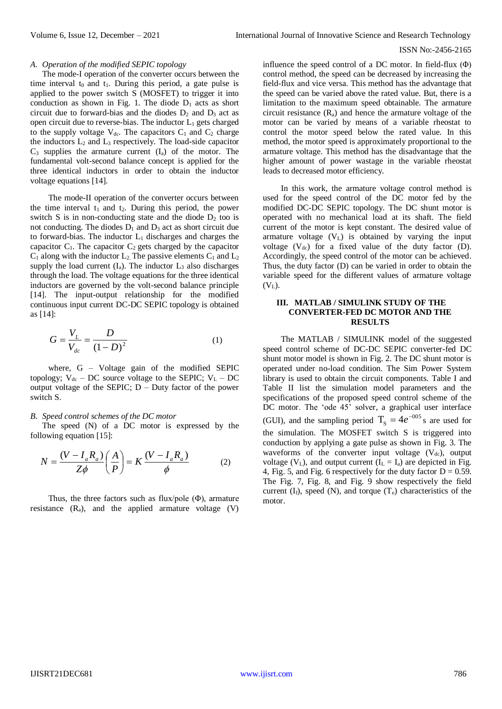## ISSN No:-2456-2165

# *A. Operation of the modified SEPIC topology*

The mode-I operation of the converter occurs between the time interval  $t_0$  and  $t_1$ . During this period, a gate pulse is applied to the power switch S (MOSFET) to trigger it into conduction as shown in Fig. 1. The diode  $D_1$  acts as short circuit due to forward-bias and the diodes  $D_2$  and  $D_3$  act as open circuit due to reverse-bias. The inductor  $L_1$  gets charged to the supply voltage  $V_{dc}$ . The capacitors  $C_1$  and  $C_2$  charge the inductors  $L_2$  and  $L_3$  respectively. The load-side capacitor  $C_3$  supplies the armature current  $(I_a)$  of the motor. The fundamental volt-second balance concept is applied for the three identical inductors in order to obtain the inductor voltage equations [14].

The mode-II operation of the converter occurs between the time interval  $t_1$  and  $t_2$ . During this period, the power switch S is in non-conducting state and the diode  $D_2$  too is not conducting. The diodes  $D_1$  and  $D_3$  act as short circuit due to forward-bias. The inductor  $L_1$  discharges and charges the capacitor  $C_1$ . The capacitor  $C_2$  gets charged by the capacitor  $C_1$  along with the inductor  $L_2$ . The passive elements  $C_1$  and  $L_2$ supply the load current  $(I_a)$ . The inductor  $L_3$  also discharges through the load. The voltage equations for the three identical inductors are governed by the volt-second balance principle [14]. The input-output relationship for the modified continuous input current DC-DC SEPIC topology is obtained as [14]:

$$
G = \frac{V_L}{V_{dc}} = \frac{D}{(1 - D)^2}
$$
 (1)

where, G – Voltage gain of the modified SEPIC topology;  $V_{dc}$  – DC source voltage to the SEPIC;  $V_{L}$  – DC output voltage of the SEPIC;  $D - Duty$  factor of the power switch S.

### *B. Speed control schemes of the DC motor*

The speed (N) of a DC motor is expressed by the following equation [15]:

$$
N = \frac{(V - I_a R_a)}{Z\phi} \left(\frac{A}{P}\right) = K \frac{(V - I_a R_a)}{\phi} \tag{2}
$$

Thus, the three factors such as flux/pole  $(\Phi)$ , armature resistance  $(R_a)$ , and the applied armature voltage  $(V)$ 

influence the speed control of a DC motor. In field-flux  $(\Phi)$ control method, the speed can be decreased by increasing the field-flux and vice versa. This method has the advantage that the speed can be varied above the rated value. But, there is a limitation to the maximum speed obtainable. The armature circuit resistance  $(R_a)$  and hence the armature voltage of the motor can be varied by means of a variable rheostat to control the motor speed below the rated value. In this method, the motor speed is approximately proportional to the armature voltage. This method has the disadvantage that the higher amount of power wastage in the variable rheostat leads to decreased motor efficiency.

In this work, the armature voltage control method is used for the speed control of the DC motor fed by the modified DC-DC SEPIC topology. The DC shunt motor is operated with no mechanical load at its shaft. The field current of the motor is kept constant. The desired value of armature voltage  $(V_L)$  is obtained by varying the input voltage  $(V_{dc})$  for a fixed value of the duty factor (D). Accordingly, the speed control of the motor can be achieved. Thus, the duty factor (D) can be varied in order to obtain the variable speed for the different values of armature voltage  $(V<sub>L</sub>)$ .

## **III. MATLAB / SIMULINK STUDY OF THE CONVERTER-FED DC MOTOR AND THE RESULTS**

The MATLAB / SIMULINK model of the suggested speed control scheme of DC-DC SEPIC converter-fed DC shunt motor model is shown in Fig. 2. The DC shunt motor is operated under no-load condition. The Sim Power System library is used to obtain the circuit components. Table I and Table II list the simulation model parameters and the specifications of the proposed speed control scheme of the DC motor. The 'ode 45' solver, a graphical user interface (GUI), and the sampling period  $T_s = 4e^{-0.05}$  s are used for the simulation. The MOSFET switch S is triggered into conduction by applying a gate pulse as shown in Fig. 3. The waveforms of the converter input voltage  $(V_{dc})$ , output voltage (V<sub>L</sub>), and output current ( $I_L = I_a$ ) are depicted in Fig. 4, Fig. 5, and Fig. 6 respectively for the duty factor  $D = 0.59$ . The Fig. 7, Fig. 8, and Fig. 9 show respectively the field current  $(I_f)$ , speed  $(N)$ , and torque  $(T_e)$  characteristics of the motor.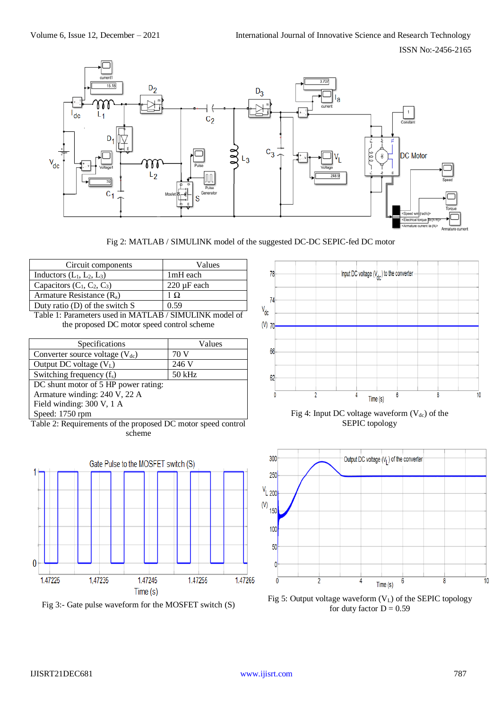ISSN No:-2456-2165





| Circuit components               | Values                  |
|----------------------------------|-------------------------|
| Inductors $(L_1, L_2, L_3)$      | 1mH each                |
| Capacitors $(C_1, C_2, C_3)$     | $220 \mu F$ each        |
| Armature Resistance $(R_a)$      | $\overline{1}$ $\Omega$ |
| Duty ratio $(D)$ of the switch S | 0.59                    |

Table 1: Parameters used in MATLAB / SIMULINK model of the proposed DC motor speed control scheme

| Specifications                       | Values   |
|--------------------------------------|----------|
| Converter source voltage $(V_{dc})$  | 70 V     |
| Output DC voltage $(V_L)$            | 246 V    |
| Switching frequency $(f_s)$          | $50$ kHz |
| DC shunt motor of 5 HP power rating: |          |
| Armature winding: 240 V, 22 A        |          |
| Field winding: 300 V, 1 A            |          |
| Speed: 1750 rpm                      |          |

Table 2: Requirements of the proposed DC motor speed control scheme



Fig 3:- Gate pulse waveform for the MOSFET switch (S)



Fig 4: Input DC voltage waveform  $(V_{dc})$  of the SEPIC topology



Fig 5: Output voltage waveform  $(V_L)$  of the SEPIC topology for duty factor  $D = 0.59$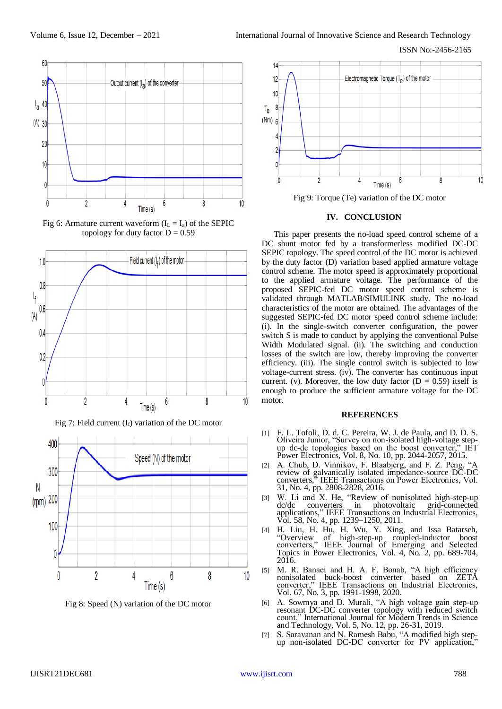

Fig 6: Armature current waveform  $(I_L = I_a)$  of the SEPIC topology for duty factor  $D = 0.59$ 



Fig 7: Field current  $(I_f)$  variation of the DC motor



Fig 8: Speed (N) variation of the DC motor



Fig 9: Torque (Te) variation of the DC motor

### **IV. CONCLUSION**

This paper presents the no-load speed control scheme of a DC shunt motor fed by a transformerless modified DC-DC SEPIC topology. The speed control of the DC motor is achieved by the duty factor (D) variation based applied armature voltage control scheme. The motor speed is approximately proportional to the applied armature voltage. The performance of the proposed SEPIC-fed DC motor speed control scheme is validated through MATLAB/SIMULINK study. The no-load characteristics of the motor are obtained. The advantages of the suggested SEPIC-fed DC motor speed control scheme include: (i). In the single-switch converter configuration, the power switch S is made to conduct by applying the conventional Pulse Width Modulated signal. (ii). The switching and conduction losses of the switch are low, thereby improving the converter efficiency. (iii). The single control switch is subjected to low voltage-current stress. (iv). The converter has continuous input current. (v). Moreover, the low duty factor ( $D = 0.59$ ) itself is enough to produce the sufficient armature voltage for the DC motor.

## **REFERENCES**

- [1] F. L. Tofoli, D. d. C. Pereira, W. J. de Paula, and D. D. S. Oliveira Junior, "Survey on non-isolated high-voltage stepup dc-dc topologies based on the boost converter," IET Power Electronics, Vol. 8, No. 10, pp. 2044-2057, 2015.
- [2] A. Chub, D. Vinnikov, F. Blaabjerg, and F. Z. Peng, "A review of galvanically isolated impedance-source DC-DC converters," IEEE Transactions on Power Electronics, Vol. 31, No. 4, pp. 2808-2828, 2016.
- [3] W. Li and X. He, "Review of nonisolated high-step-up dc/dc converters in photovoltaic grid-connected applications," IEEE Transactions on Industrial Electronics, Vol. 58, No. 4, pp. 1239–1250, 2011.
- [4] H. Liu, H. Hu, H. Wu, Y. Xing, and Issa Batarseh, "Overview of high-step-up coupled-inductor boost converters," IEEE Journal of Emerging and Selected Topics in Power Electronics, Vol. 4, No. 2, pp. 689-704, 2016.
- [5] M. R. Banaei and H. A. F. Bonab, "A high efficiency nonisolated buck-boost converter based on ZETA converter," IEEE Transactions on Industrial Electronics, Vol. 67, No. 3, pp. 1991-1998, 2020.
- [6] A. Sowmya and D. Murali, "A high voltage gain step-up resonant DC-DC converter topology with reduced switch count," International Journal for Modern Trends in Science and Technology, Vol. 5, No. 12, pp. 26-31, 2019.
- S. Saravanan and N. Ramesh Babu, "A modified high stepup non-isolated DC-DC converter for PV application,